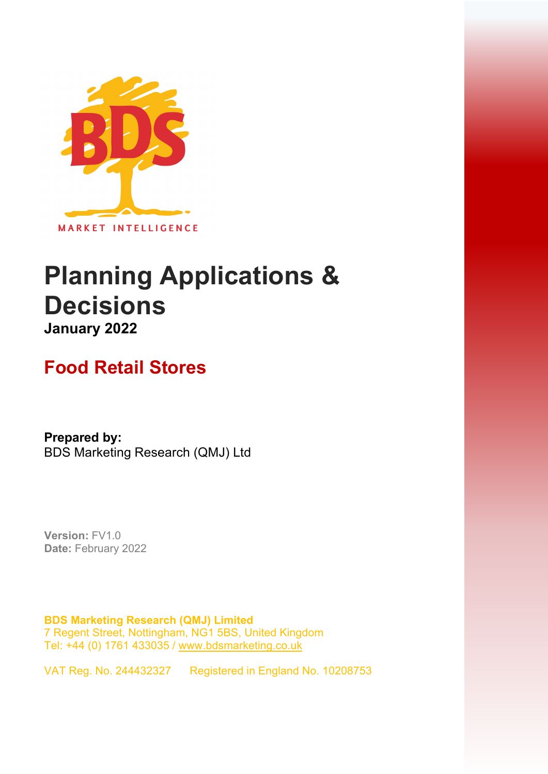

# **Planning Applications & Decisions January 2022**

## **Food Retail Stores**

**Prepared by:**  BDS Marketing Research (QMJ) Ltd

**Version:** FV1.0 **Date:** February 2022

**BDS Marketing Research (QMJ) Limited**  7 Regent Street, Nottingham, NG1 5BS, United Kingdom Tel: +44 (0) 1761 433035 / [www.bdsmarketing.co.uk](http://www.bdsmarketing.co.uk/)

VAT Reg. No. 244432327 Registered in England No. 10208753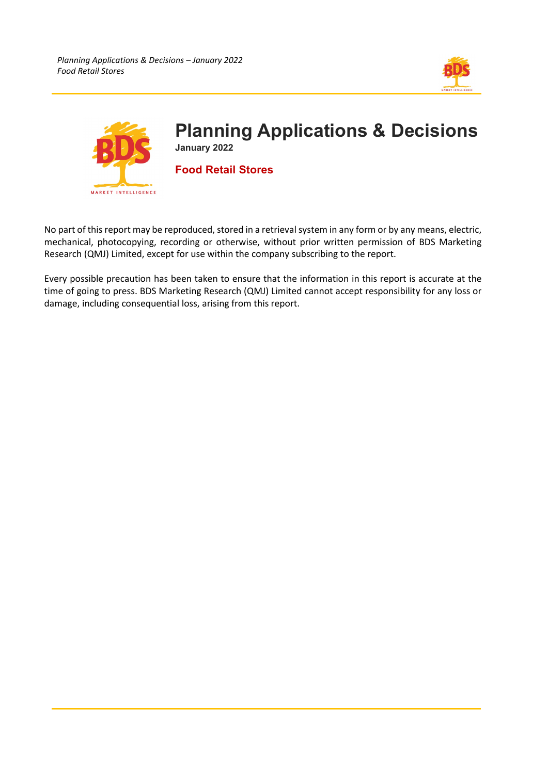



No part of this report may be reproduced, stored in a retrieval system in any form or by any means, electric, mechanical, photocopying, recording or otherwise, without prior written permission of BDS Marketing Research (QMJ) Limited, except for use within the company subscribing to the report.

Every possible precaution has been taken to ensure that the information in this report is accurate at the time of going to press. BDS Marketing Research (QMJ) Limited cannot accept responsibility for any loss or damage, including consequential loss, arising from this report.